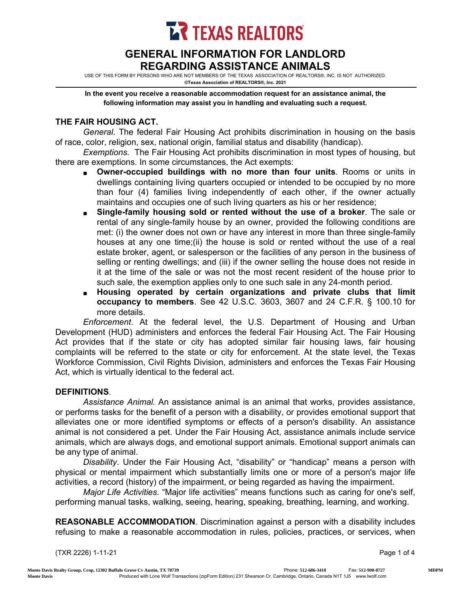**LR TEXAS REALTORS** 

## GENERAL INFORMATION FOR LANDLORD REGARDING ASSISTANCE ANIMALS

USE OF THIS FORM BY PERSONS WHO ARE NOT MEMBERS OF THE TEXAS ASSOCIATION OF REALTORS®, INC. IS NOT AUTHORIZED. ©Texas Association of REALTORS®, Inc. 2021

In the event you receive a reasonable accommodation request for an assistance animal, the following information may assist you in handling and evaluating such a request.

## THE FAIR HOUSING ACT.

*General*. The federal Fair Housing Act prohibits discrimination in housing on the basis of race, color, religion, sex, national origin, familial status and disability (handicap).

*Exemptions.* The Fair Housing Act prohibits discrimination in most types of housing, but there are exemptions. In some circumstances, the Act exempts:

- Owner-occupied buildings with no more than four units. Rooms or units in dwellings containing living quarters occupied or intended to be occupied by no more than four (4) families living independently of each other, if the owner actually maintains and occupies one of such living quarters as his or her residence;
- Single-family housing sold or rented without the use of a broker. The sale or rental of any single-family house by an owner, provided the following conditions are met: (i) the owner does not own or have any interest in more than three single-family houses at any one time;(ii) the house is sold or rented without the use of a real estate broker, agent, or salesperson or the facilities of any person in the business of selling or renting dwellings; and (iii) if the owner selling the house does not reside in it at the time of the sale or was not the most recent resident of the house prior to such sale, the exemption applies only to one such sale in any 24-month period.
- Housing operated by certain organizations and private clubs that limit occupancy to members. See 42 U.S.C. 3603, 3607 and 24 C.F.R. § 100.10 for more details.

*Enforcement*. At the federal level, the U.S. Department of Housing and Urban Development (HUD) administers and enforces the federal Fair Housing Act. The Fair Housing Act provides that if the state or city has adopted similar fair housing laws, fair housing complaints will be referred to the state or city for enforcement. At the state level, the Texas Workforce Commission, Civil Rights Division, administers and enforces the Texas Fair Housing Act, which is virtually identical to the federal act.

## DEFINITIONS.

*Assistance Animal.* An assistance animal is an animal that works, provides assistance, or performs tasks for the benefit of a person with a disability, or provides emotional support that alleviates one or more identified symptoms or effects of a person's disability. An assistance animal is not considered a pet. Under the Fair Housing Act, assistance animals include service animals, which are always dogs, and emotional support animals. Emotional support animals can be any type of animal.

*Disability*. Under the Fair Housing Act, "disability" or "handicap" means a person with physical or mental impairment which substantially limits one or more of a person's major life activities, a record (history) of the impairment, or being regarded as having the impairment.

*Major Life Activities*. "Major life activities" means functions such as caring for one's self, performing manual tasks, walking, seeing, hearing, speaking, breathing, learning, and working.

REASONABLE ACCOMMODATION. Discrimination against a person with a disability includes refusing to make a reasonable accommodation in rules, policies, practices, or services, when

(TXR 2226) 1-11-21 Page 1 of 4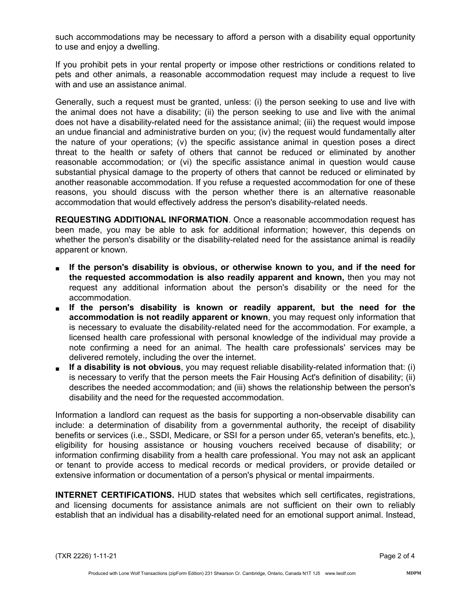such accommodations may be necessary to afford a person with a disability equal opportunity to use and enjoy a dwelling.

If you prohibit pets in your rental property or impose other restrictions or conditions related to pets and other animals, a reasonable accommodation request may include a request to live with and use an assistance animal.

Generally, such a request must be granted, unless: (i) the person seeking to use and live with the animal does not have a disability; (ii) the person seeking to use and live with the animal does not have a disability-related need for the assistance animal; (iii) the request would impose an undue financial and administrative burden on you; (iv) the request would fundamentally alter the nature of your operations; (v) the specific assistance animal in question poses a direct threat to the health or safety of others that cannot be reduced or eliminated by another reasonable accommodation; or (vi) the specific assistance animal in question would cause substantial physical damage to the property of others that cannot be reduced or eliminated by another reasonable accommodation. If you refuse a requested accommodation for one of these reasons, you should discuss with the person whether there is an alternative reasonable accommodation that would effectively address the person's disability-related needs.

REQUESTING ADDITIONAL INFORMATION. Once a reasonable accommodation request has been made, you may be able to ask for additional information; however, this depends on whether the person's disability or the disability-related need for the assistance animal is readily apparent or known.

- If the person's disability is obvious, or otherwise known to you, and if the need for the requested accommodation is also readily apparent and known, then you may not request any additional information about the person's disability or the need for the accommodation.
- If the person's disability is known or readily apparent, but the need for the accommodation is not readily apparent or known, you may request only information that is necessary to evaluate the disability-related need for the accommodation. For example, a licensed health care professional with personal knowledge of the individual may provide a note confirming a need for an animal. The health care professionals' services may be delivered remotely, including the over the internet.
- If a disability is not obvious, you may request reliable disability-related information that: (i) is necessary to verify that the person meets the Fair Housing Act's definition of disability; (ii) describes the needed accommodation; and (iii) shows the relationship between the person's disability and the need for the requested accommodation.

Information a landlord can request as the basis for supporting a non-observable disability can include: a determination of disability from a governmental authority, the receipt of disability benefits or services (i.e., SSDI, Medicare, or SSI for a person under 65, veteran's benefits, etc.), eligibility for housing assistance or housing vouchers received because of disability; or information confirming disability from a health care professional. You may not ask an applicant or tenant to provide access to medical records or medical providers, or provide detailed or extensive information or documentation of a person's physical or mental impairments.

INTERNET CERTIFICATIONS. HUD states that websites which sell certificates, registrations, and licensing documents for assistance animals are not sufficient on their own to reliably establish that an individual has a disability-related need for an emotional support animal. Instead,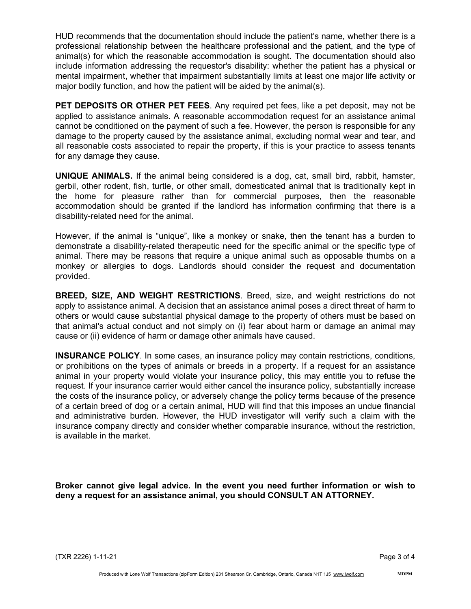HUD recommends that the documentation should include the patient's name, whether there is a professional relationship between the healthcare professional and the patient, and the type of animal(s) for which the reasonable accommodation is sought. The documentation should also include information addressing the requestor's disability: whether the patient has a physical or mental impairment, whether that impairment substantially limits at least one major life activity or major bodily function, and how the patient will be aided by the animal(s).

PET DEPOSITS OR OTHER PET FEES. Any required pet fees, like a pet deposit, may not be applied to assistance animals. A reasonable accommodation request for an assistance animal cannot be conditioned on the payment of such a fee. However, the person is responsible for any damage to the property caused by the assistance animal, excluding normal wear and tear, and all reasonable costs associated to repair the property, if this is your practice to assess tenants for any damage they cause.

UNIQUE ANIMALS. If the animal being considered is a dog, cat, small bird, rabbit, hamster, gerbil, other rodent, fish, turtle, or other small, domesticated animal that is traditionally kept in the home for pleasure rather than for commercial purposes, then the reasonable accommodation should be granted if the landlord has information confirming that there is a disability-related need for the animal.

However, if the animal is "unique", like a monkey or snake, then the tenant has a burden to demonstrate a disability-related therapeutic need for the specific animal or the specific type of animal. There may be reasons that require a unique animal such as opposable thumbs on a monkey or allergies to dogs. Landlords should consider the request and documentation provided.

BREED, SIZE, AND WEIGHT RESTRICTIONS. Breed, size, and weight restrictions do not apply to assistance animal. A decision that an assistance animal poses a direct threat of harm to others or would cause substantial physical damage to the property of others must be based on that animal's actual conduct and not simply on (i) fear about harm or damage an animal may cause or (ii) evidence of harm or damage other animals have caused.

INSURANCE POLICY. In some cases, an insurance policy may contain restrictions, conditions, or prohibitions on the types of animals or breeds in a property. If a request for an assistance animal in your property would violate your insurance policy, this may entitle you to refuse the request. If your insurance carrier would either cancel the insurance policy, substantially increase the costs of the insurance policy, or adversely change the policy terms because of the presence of a certain breed of dog or a certain animal, HUD will find that this imposes an undue financial and administrative burden. However, the HUD investigator will verify such a claim with the insurance company directly and consider whether comparable insurance, without the restriction, is available in the market.

Broker cannot give legal advice. In the event you need further information or wish to deny a request for an assistance animal, you should CONSULT AN ATTORNEY.